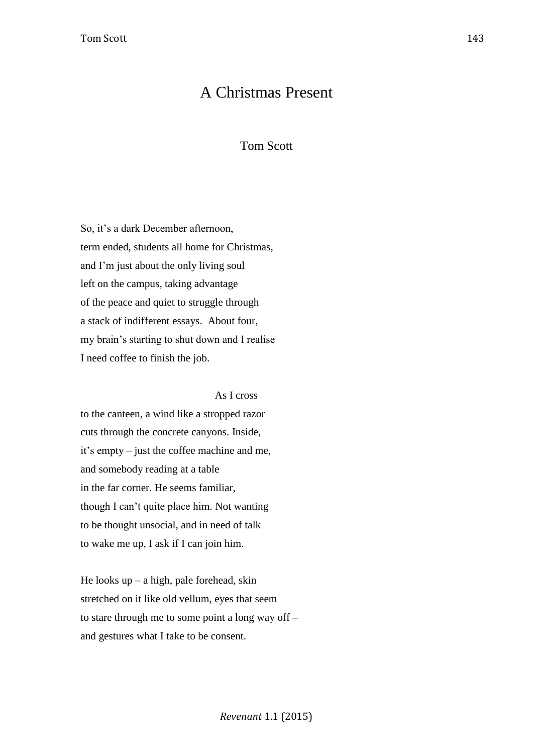## A Christmas Present

## Tom Scott

So, it's a dark December afternoon, term ended, students all home for Christmas, and I"m just about the only living soul left on the campus, taking advantage of the peace and quiet to struggle through a stack of indifferent essays. About four, my brain"s starting to shut down and I realise I need coffee to finish the job.

## As I cross

to the canteen, a wind like a stropped razor cuts through the concrete canyons. Inside, it"s empty – just the coffee machine and me, and somebody reading at a table in the far corner. He seems familiar, though I can"t quite place him. Not wanting to be thought unsocial, and in need of talk to wake me up, I ask if I can join him.

He looks  $up - a high$ , pale forehead, skin stretched on it like old vellum, eyes that seem to stare through me to some point a long way off – and gestures what I take to be consent.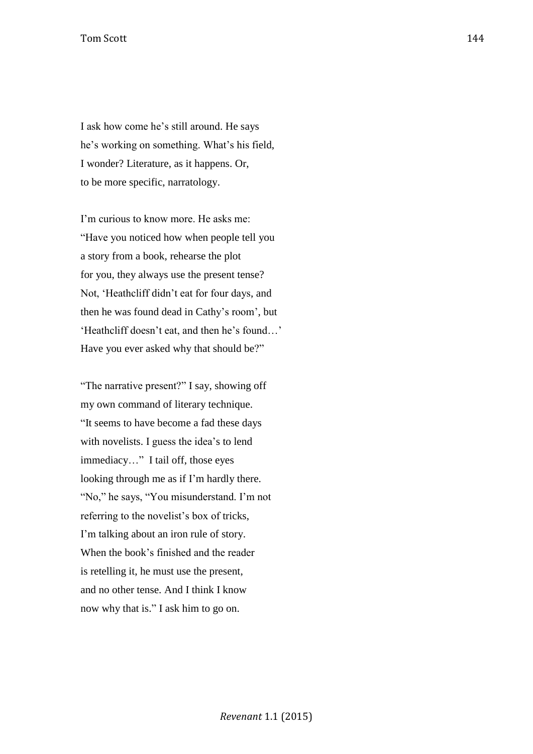I ask how come he"s still around. He says he"s working on something. What"s his field, I wonder? Literature, as it happens. Or, to be more specific, narratology.

I'm curious to know more. He asks me: "Have you noticed how when people tell you a story from a book, rehearse the plot for you, they always use the present tense? Not, "Heathcliff didn"t eat for four days, and then he was found dead in Cathy"s room", but 'Heathcliff doesn't eat, and then he's found...' Have you ever asked why that should be?"

"The narrative present?" I say, showing off my own command of literary technique. "It seems to have become a fad these days with novelists. I guess the idea's to lend immediacy…" I tail off, those eyes looking through me as if I"m hardly there. "No," he says, "You misunderstand. I"m not referring to the novelist's box of tricks, I'm talking about an iron rule of story. When the book"s finished and the reader is retelling it, he must use the present, and no other tense. And I think I know now why that is." I ask him to go on.